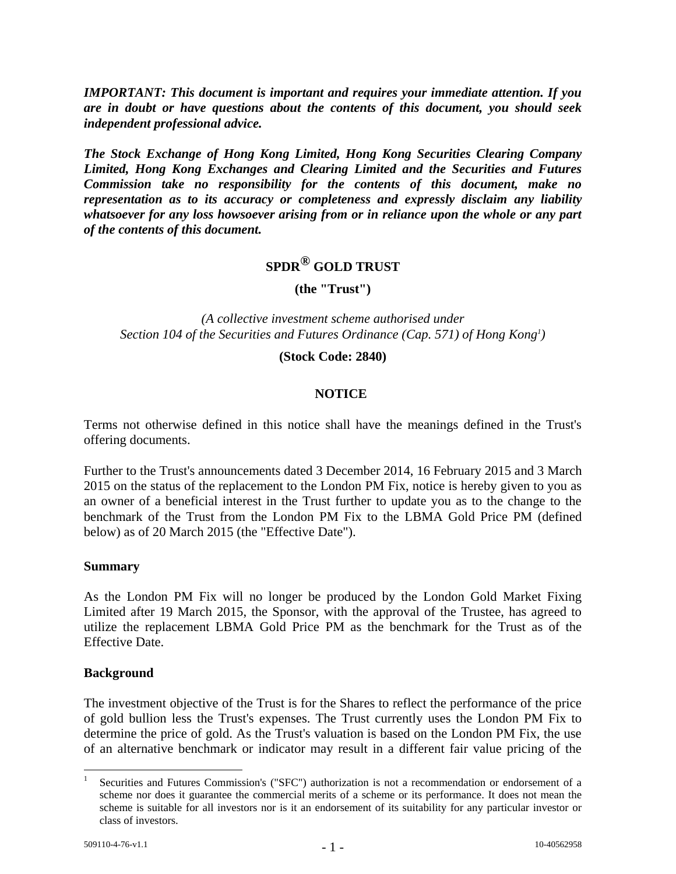*IMPORTANT: This document is important and requires your immediate attention. If you are in doubt or have questions about the contents of this document, you should seek independent professional advice.*

*The Stock Exchange of Hong Kong Limited, Hong Kong Securities Clearing Company Limited, Hong Kong Exchanges and Clearing Limited and the Securities and Futures Commission take no responsibility for the contents of this document, make no representation as to its accuracy or completeness and expressly disclaim any liability whatsoever for any loss howsoever arising from or in reliance upon the whole or any part of the contents of this document.*

# **SPDR® GOLD TRUST**

**(the "Trust")**

*(A collective investment scheme authorised under Section 104 of the Securities and Futures Ordinance (Cap. 571) of Hong Kong<sup>1</sup> )*

#### **(Stock Code: 2840)**

#### **NOTICE**

Terms not otherwise defined in this notice shall have the meanings defined in the Trust's offering documents.

Further to the Trust's announcements dated 3 December 2014, 16 February 2015 and 3 March 2015 on the status of the replacement to the London PM Fix, notice is hereby given to you as an owner of a beneficial interest in the Trust further to update you as to the change to the benchmark of the Trust from the London PM Fix to the LBMA Gold Price PM (defined below) as of 20 March 2015 (the "Effective Date").

#### **Summary**

As the London PM Fix will no longer be produced by the London Gold Market Fixing Limited after 19 March 2015, the Sponsor, with the approval of the Trustee, has agreed to utilize the replacement LBMA Gold Price PM as the benchmark for the Trust as of the Effective Date.

#### **Background**

The investment objective of the Trust is for the Shares to reflect the performance of the price of gold bullion less the Trust's expenses. The Trust currently uses the London PM Fix to determine the price of gold. As the Trust's valuation is based on the London PM Fix, the use of an alternative benchmark or indicator may result in a different fair value pricing of the

<sup>|&</sup>lt;br>|<br>| Securities and Futures Commission's ("SFC") authorization is not a recommendation or endorsement of a scheme nor does it guarantee the commercial merits of a scheme or its performance. It does not mean the scheme is suitable for all investors nor is it an endorsement of its suitability for any particular investor or class of investors.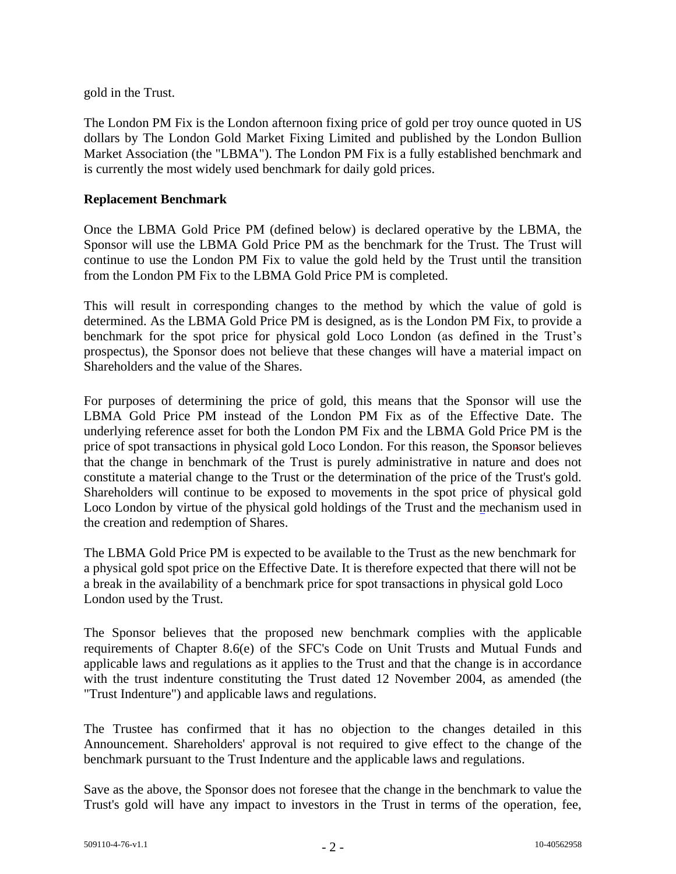gold in the Trust.

The London PM Fix is the London afternoon fixing price of gold per troy ounce quoted in US dollars by The London Gold Market Fixing Limited and published by the London Bullion Market Association (the "LBMA"). The London PM Fix is a fully established benchmark and is currently the most widely used benchmark for daily gold prices.

### **Replacement Benchmark**

Once the LBMA Gold Price PM (defined below) is declared operative by the LBMA, the Sponsor will use the LBMA Gold Price PM as the benchmark for the Trust. The Trust will continue to use the London PM Fix to value the gold held by the Trust until the transition from the London PM Fix to the LBMA Gold Price PM is completed.

This will result in corresponding changes to the method by which the value of gold is determined. As the LBMA Gold Price PM is designed, as is the London PM Fix, to provide a benchmark for the spot price for physical gold Loco London (as defined in the Trust's prospectus), the Sponsor does not believe that these changes will have a material impact on Shareholders and the value of the Shares.

For purposes of determining the price of gold, this means that the Sponsor will use the LBMA Gold Price PM instead of the London PM Fix as of the Effective Date. The underlying reference asset for both the London PM Fix and the LBMA Gold Price PM is the price of spot transactions in physical gold Loco London. For this reason, the Sponsor believes that the change in benchmark of the Trust is purely administrative in nature and does not constitute a material change to the Trust or the determination of the price of the Trust's gold. Shareholders will continue to be exposed to movements in the spot price of physical gold Loco London by virtue of the physical gold holdings of the Trust and the mechanism used in the creation and redemption of Shares.

The LBMA Gold Price PM is expected to be available to the Trust as the new benchmark for a physical gold spot price on the Effective Date. It is therefore expected that there will not be a break in the availability of a benchmark price for spot transactions in physical gold Loco London used by the Trust.

The Sponsor believes that the proposed new benchmark complies with the applicable requirements of Chapter 8.6(e) of the SFC's Code on Unit Trusts and Mutual Funds and applicable laws and regulations as it applies to the Trust and that the change is in accordance with the trust indenture constituting the Trust dated 12 November 2004, as amended (the "Trust Indenture") and applicable laws and regulations.

The Trustee has confirmed that it has no objection to the changes detailed in this Announcement. Shareholders' approval is not required to give effect to the change of the benchmark pursuant to the Trust Indenture and the applicable laws and regulations.

Save as the above, the Sponsor does not foresee that the change in the benchmark to value the Trust's gold will have any impact to investors in the Trust in terms of the operation, fee,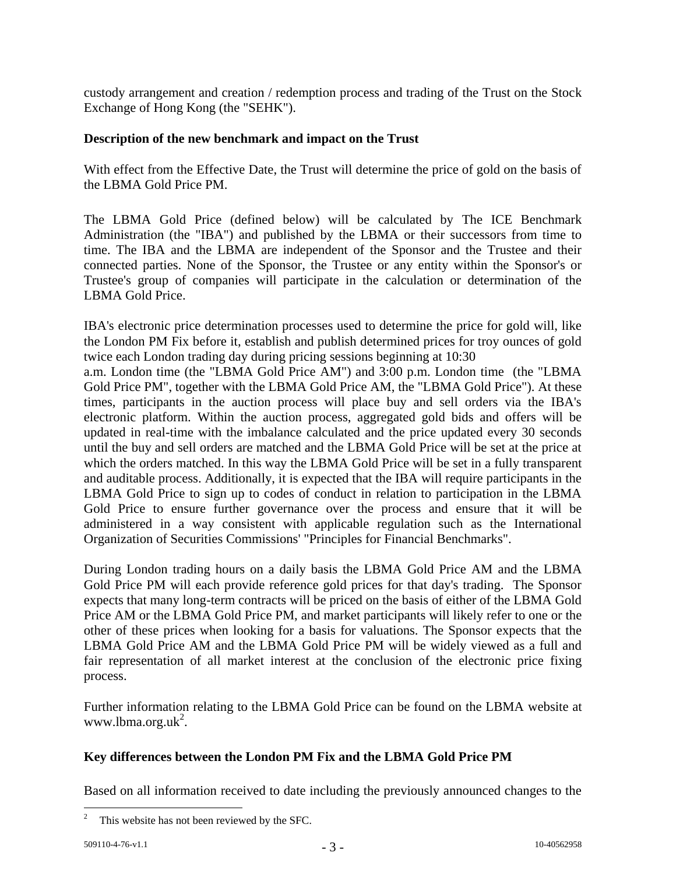custody arrangement and creation / redemption process and trading of the Trust on the Stock Exchange of Hong Kong (the "SEHK").

### **Description of the new benchmark and impact on the Trust**

With effect from the Effective Date, the Trust will determine the price of gold on the basis of the LBMA Gold Price PM.

The LBMA Gold Price (defined below) will be calculated by The ICE Benchmark Administration (the "IBA") and published by the LBMA or their successors from time to time. The IBA and the LBMA are independent of the Sponsor and the Trustee and their connected parties. None of the Sponsor, the Trustee or any entity within the Sponsor's or Trustee's group of companies will participate in the calculation or determination of the LBMA Gold Price.

IBA's electronic price determination processes used to determine the price for gold will, like the London PM Fix before it, establish and publish determined prices for troy ounces of gold twice each London trading day during pricing sessions beginning at 10:30

a.m. London time (the "LBMA Gold Price AM") and 3:00 p.m. London time (the "LBMA Gold Price PM", together with the LBMA Gold Price AM, the "LBMA Gold Price"). At these times, participants in the auction process will place buy and sell orders via the IBA's electronic platform. Within the auction process, aggregated gold bids and offers will be updated in real-time with the imbalance calculated and the price updated every 30 seconds until the buy and sell orders are matched and the LBMA Gold Price will be set at the price at which the orders matched. In this way the LBMA Gold Price will be set in a fully transparent and auditable process. Additionally, it is expected that the IBA will require participants in the LBMA Gold Price to sign up to codes of conduct in relation to participation in the LBMA Gold Price to ensure further governance over the process and ensure that it will be administered in a way consistent with applicable regulation such as the International Organization of Securities Commissions' "Principles for Financial Benchmarks".

During London trading hours on a daily basis the LBMA Gold Price AM and the LBMA Gold Price PM will each provide reference gold prices for that day's trading. The Sponsor expects that many long-term contracts will be priced on the basis of either of the LBMA Gold Price AM or the LBMA Gold Price PM, and market participants will likely refer to one or the other of these prices when looking for a basis for valuations. The Sponsor expects that the LBMA Gold Price AM and the LBMA Gold Price PM will be widely viewed as a full and fair representation of all market interest at the conclusion of the electronic price fixing process.

Further information relating to the LBMA Gold Price can be found on the LBMA [website at](http://www.lbma.org.uk./)  [www.lbma.org.uk](http://www.lbma.org.uk./)<sup>2</sup>.

# **Key differences between the London PM Fix and the LBMA Gold Price PM**

Based on all information received to date including the previously announced changes to the

 $\ddot{\phantom{a}}$ 

 $2^2$  This website has not been reviewed by the SFC.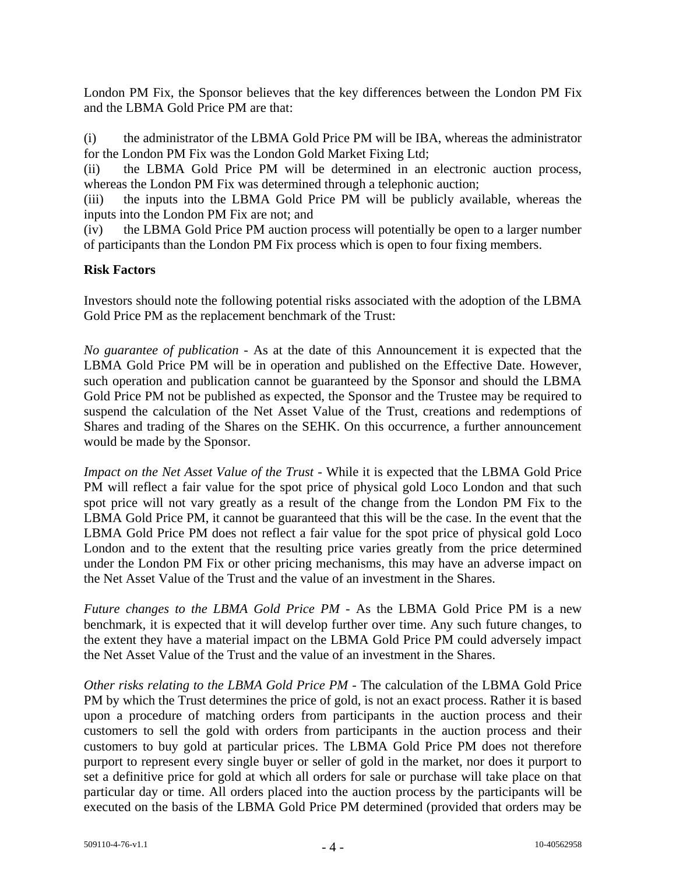London PM Fix, the Sponsor believes that the key differences between the London PM Fix and the LBMA Gold Price PM are that:

(i) the administrator of the LBMA Gold Price PM will be IBA, whereas the administrator for the London PM Fix was the London Gold Market Fixing Ltd;

(ii) the LBMA Gold Price PM will be determined in an electronic auction process, whereas the London PM Fix was determined through a telephonic auction;

(iii) the inputs into the LBMA Gold Price PM will be publicly available, whereas the inputs into the London PM Fix are not; and

(iv) the LBMA Gold Price PM auction process will potentially be open to a larger number of participants than the London PM Fix process which is open to four fixing members.

### **Risk Factors**

Investors should note the following potential risks associated with the adoption of the LBMA Gold Price PM as the replacement benchmark of the Trust:

*No guarantee of publication* - As at the date of this Announcement it is expected that the LBMA Gold Price PM will be in operation and published on the Effective Date. However, such operation and publication cannot be guaranteed by the Sponsor and should the LBMA Gold Price PM not be published as expected, the Sponsor and the Trustee may be required to suspend the calculation of the Net Asset Value of the Trust, creations and redemptions of Shares and trading of the Shares on the SEHK. On this occurrence, a further announcement would be made by the Sponsor.

*Impact on the Net Asset Value of the Trust* - While it is expected that the LBMA Gold Price PM will reflect a fair value for the spot price of physical gold Loco London and that such spot price will not vary greatly as a result of the change from the London PM Fix to the LBMA Gold Price PM, it cannot be guaranteed that this will be the case. In the event that the LBMA Gold Price PM does not reflect a fair value for the spot price of physical gold Loco London and to the extent that the resulting price varies greatly from the price determined under the London PM Fix or other pricing mechanisms, this may have an adverse impact on the Net Asset Value of the Trust and the value of an investment in the Shares.

*Future changes to the LBMA Gold Price PM* - As the LBMA Gold Price PM is a new benchmark, it is expected that it will develop further over time. Any such future changes, to the extent they have a material impact on the LBMA Gold Price PM could adversely impact the Net Asset Value of the Trust and the value of an investment in the Shares.

*Other risks relating to the LBMA Gold Price PM* - The calculation of the LBMA Gold Price PM by which the Trust determines the price of gold, is not an exact process. Rather it is based upon a procedure of matching orders from participants in the auction process and their customers to sell the gold with orders from participants in the auction process and their customers to buy gold at particular prices. The LBMA Gold Price PM does not therefore purport to represent every single buyer or seller of gold in the market, nor does it purport to set a definitive price for gold at which all orders for sale or purchase will take place on that particular day or time. All orders placed into the auction process by the participants will be executed on the basis of the LBMA Gold Price PM determined (provided that orders may be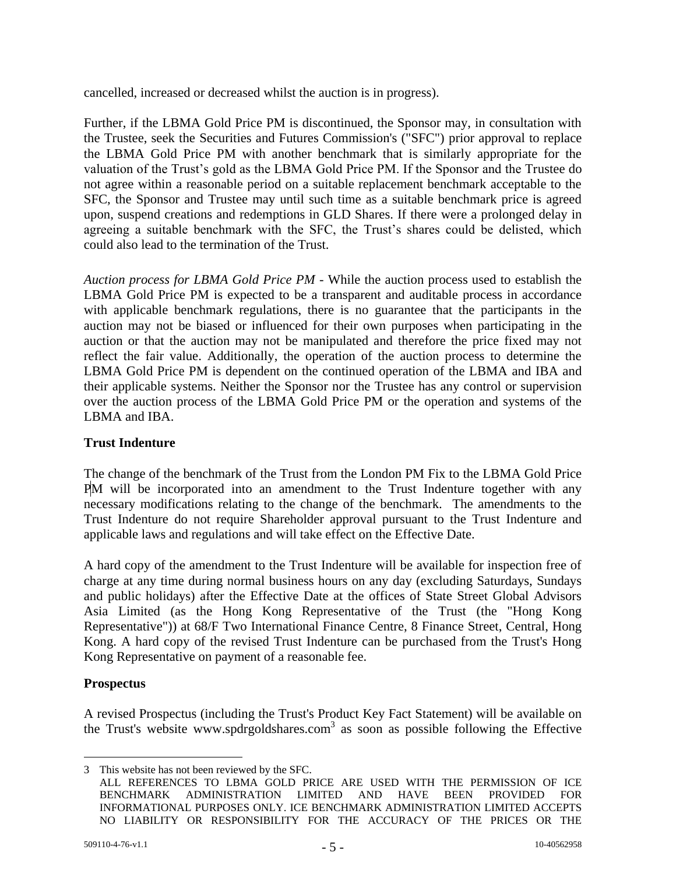cancelled, increased or decreased whilst the auction is in progress).

Further, if the LBMA Gold Price PM is discontinued, the Sponsor may, in consultation with the Trustee, seek the Securities and Futures Commission's ("SFC") prior approval to replace the LBMA Gold Price PM with another benchmark that is similarly appropriate for the valuation of the Trust's gold as the LBMA Gold Price PM. If the Sponsor and the Trustee do not agree within a reasonable period on a suitable replacement benchmark acceptable to the SFC, the Sponsor and Trustee may until such time as a suitable benchmark price is agreed upon, suspend creations and redemptions in GLD Shares. If there were a prolonged delay in agreeing a suitable benchmark with the SFC, the Trust's shares could be delisted, which could also lead to the termination of the Trust.

*Auction process for LBMA Gold Price PM* - While the auction process used to establish the LBMA Gold Price PM is expected to be a transparent and auditable process in accordance with applicable benchmark regulations, there is no guarantee that the participants in the auction may not be biased or influenced for their own purposes when participating in the auction or that the auction may not be manipulated and therefore the price fixed may not reflect the fair value. Additionally, the operation of the auction process to determine the LBMA Gold Price PM is dependent on the continued operation of the LBMA and IBA and their applicable systems. Neither the Sponsor nor the Trustee has any control or supervision over the auction process of the LBMA Gold Price PM or the operation and systems of the LBMA and IBA.

## **Trust Indenture**

The change of the benchmark of the Trust from the London PM Fix to the LBMA Gold Price PM will be incorporated into an amendment to the Trust Indenture together with any necessary modifications relating to the change of the benchmark. The amendments to the Trust Indenture do not require Shareholder approval pursuant to the Trust Indenture and applicable laws and regulations and will take effect on the Effective Date.

A hard copy of the amendment to the Trust Indenture will be available for inspection free of charge at any time during normal business hours on any day (excluding Saturdays, Sundays and public holidays) after the Effective Date at the offices of State Street Global Advisors Asia Limited (as the Hong Kong Representative of the Trust (the "Hong Kong Representative")) at 68/F Two International Finance Centre, 8 Finance Street, Central, Hong Kong. A hard copy of the revised Trust Indenture can be purchased from the Trust's Hong Kong Representative on payment of a reasonable fee.

# **Prospectus**

A revised Prospectus (including the Trust's Product Key Fact Statement) will be available on the Trust's website [www.spdrgoldshares.com](http://www.spdrgoldshares.com/)<sup>3</sup> as soon as possible following the Effective

 $\overline{a}$ 3 This website has not been reviewed by the SFC.

ALL REFERENCES TO LBMA GOLD PRICE ARE USED WITH THE PERMISSION OF ICE BENCHMARK ADMINISTRATION LIMITED AND HAVE BEEN PROVIDED FOR INFORMATIONAL PURPOSES ONLY. ICE BENCHMARK ADMINISTRATION LIMITED ACCEPTS NO LIABILITY OR RESPONSIBILITY FOR THE ACCURACY OF THE PRICES OR THE